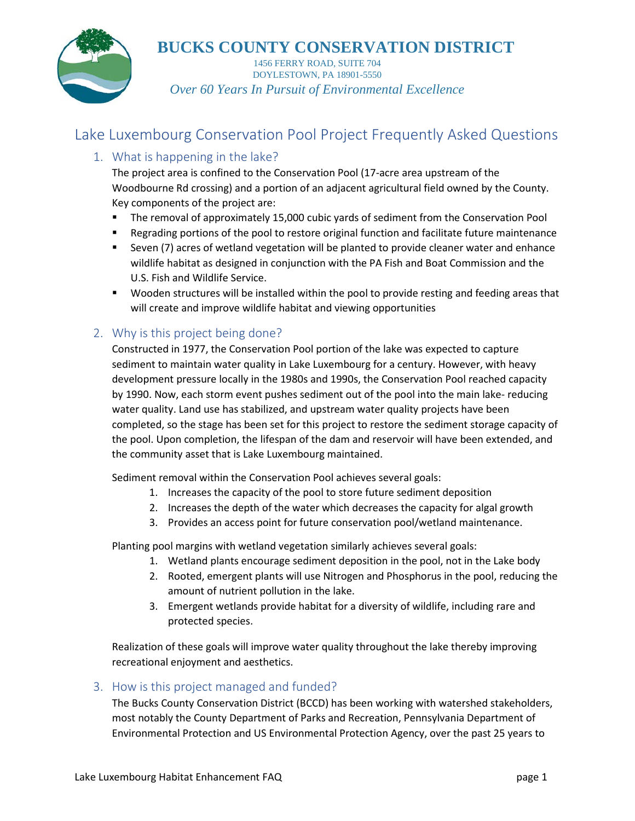

1456 FERRY ROAD, SUITE 704 DOYLESTOWN, PA 18901-5550 *Over 60 Years In Pursuit of Environmental Excellence*

## Lake Luxembourg Conservation Pool Project Frequently Asked Questions

## 1. What is happening in the lake?

The project area is confined to the Conservation Pool (17-acre area upstream of the Woodbourne Rd crossing) and a portion of an adjacent agricultural field owned by the County. Key components of the project are:

- The removal of approximately 15,000 cubic yards of sediment from the Conservation Pool
- **EXE** Regrading portions of the pool to restore original function and facilitate future maintenance
- Seven (7) acres of wetland vegetation will be planted to provide cleaner water and enhance wildlife habitat as designed in conjunction with the PA Fish and Boat Commission and the U.S. Fish and Wildlife Service.
- **Wooden structures will be installed within the pool to provide resting and feeding areas that** will create and improve wildlife habitat and viewing opportunities

### 2. Why is this project being done?

Constructed in 1977, the Conservation Pool portion of the lake was expected to capture sediment to maintain water quality in Lake Luxembourg for a century. However, with heavy development pressure locally in the 1980s and 1990s, the Conservation Pool reached capacity by 1990. Now, each storm event pushes sediment out of the pool into the main lake- reducing water quality. Land use has stabilized, and upstream water quality projects have been completed, so the stage has been set for this project to restore the sediment storage capacity of the pool. Upon completion, the lifespan of the dam and reservoir will have been extended, and the community asset that is Lake Luxembourg maintained.

Sediment removal within the Conservation Pool achieves several goals:

- 1. Increases the capacity of the pool to store future sediment deposition
- 2. Increases the depth of the water which decreases the capacity for algal growth
- 3. Provides an access point for future conservation pool/wetland maintenance.

Planting pool margins with wetland vegetation similarly achieves several goals:

- 1. Wetland plants encourage sediment deposition in the pool, not in the Lake body
- 2. Rooted, emergent plants will use Nitrogen and Phosphorus in the pool, reducing the amount of nutrient pollution in the lake.
- 3. Emergent wetlands provide habitat for a diversity of wildlife, including rare and protected species.

Realization of these goals will improve water quality throughout the lake thereby improving recreational enjoyment and aesthetics.

#### 3. How is this project managed and funded?

The Bucks County Conservation District (BCCD) has been working with watershed stakeholders, most notably the County Department of Parks and Recreation, Pennsylvania Department of Environmental Protection and US Environmental Protection Agency, over the past 25 years to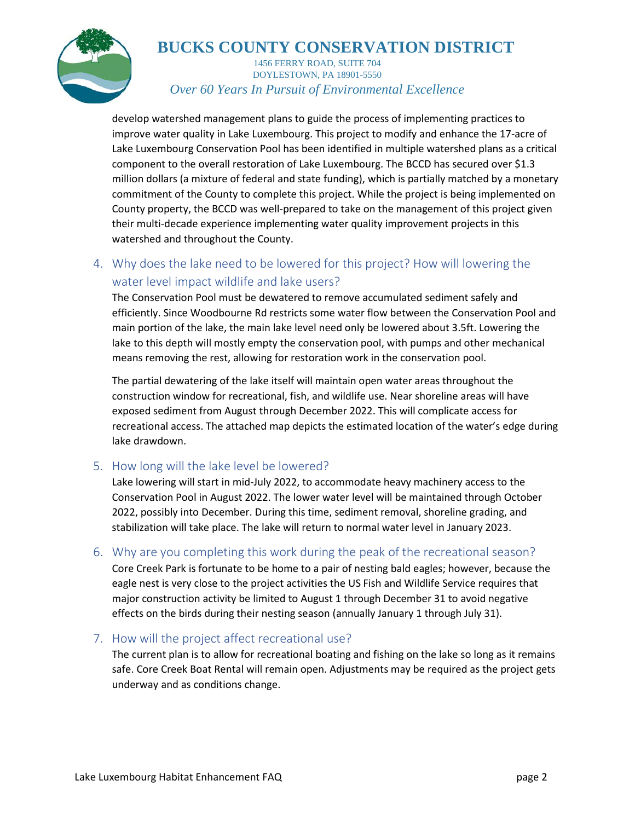

1456 FERRY ROAD, SUITE 704 DOYLESTOWN, PA 18901-5550 *Over 60 Years In Pursuit of Environmental Excellence*

develop watershed management plans to guide the process of implementing practices to improve water quality in Lake Luxembourg. This project to modify and enhance the 17-acre of Lake Luxembourg Conservation Pool has been identified in multiple watershed plans as a critical component to the overall restoration of Lake Luxembourg. The BCCD has secured over \$1.3 million dollars (a mixture of federal and state funding), which is partially matched by a monetary commitment of the County to complete this project. While the project is being implemented on County property, the BCCD was well-prepared to take on the management of this project given their multi-decade experience implementing water quality improvement projects in this watershed and throughout the County.

## 4. Why does the lake need to be lowered for this project? How will lowering the water level impact wildlife and lake users?

The Conservation Pool must be dewatered to remove accumulated sediment safely and efficiently. Since Woodbourne Rd restricts some water flow between the Conservation Pool and main portion of the lake, the main lake level need only be lowered about 3.5ft. Lowering the lake to this depth will mostly empty the conservation pool, with pumps and other mechanical means removing the rest, allowing for restoration work in the conservation pool.

The partial dewatering of the lake itself will maintain open water areas throughout the construction window for recreational, fish, and wildlife use. Near shoreline areas will have exposed sediment from August through December 2022. This will complicate access for recreational access. The attached map depicts the estimated location of the water's edge during lake drawdown.

#### 5. How long will the lake level be lowered?

Lake lowering will start in mid-July 2022, to accommodate heavy machinery access to the Conservation Pool in August 2022. The lower water level will be maintained through October 2022, possibly into December. During this time, sediment removal, shoreline grading, and stabilization will take place. The lake will return to normal water level in January 2023.

#### 6. Why are you completing this work during the peak of the recreational season?

Core Creek Park is fortunate to be home to a pair of nesting bald eagles; however, because the eagle nest is very close to the project activities the US Fish and Wildlife Service requires that major construction activity be limited to August 1 through December 31 to avoid negative effects on the birds during their nesting season (annually January 1 through July 31).

### 7. How will the project affect recreational use?

The current plan is to allow for recreational boating and fishing on the lake so long as it remains safe. Core Creek Boat Rental will remain open. Adjustments may be required as the project gets underway and as conditions change.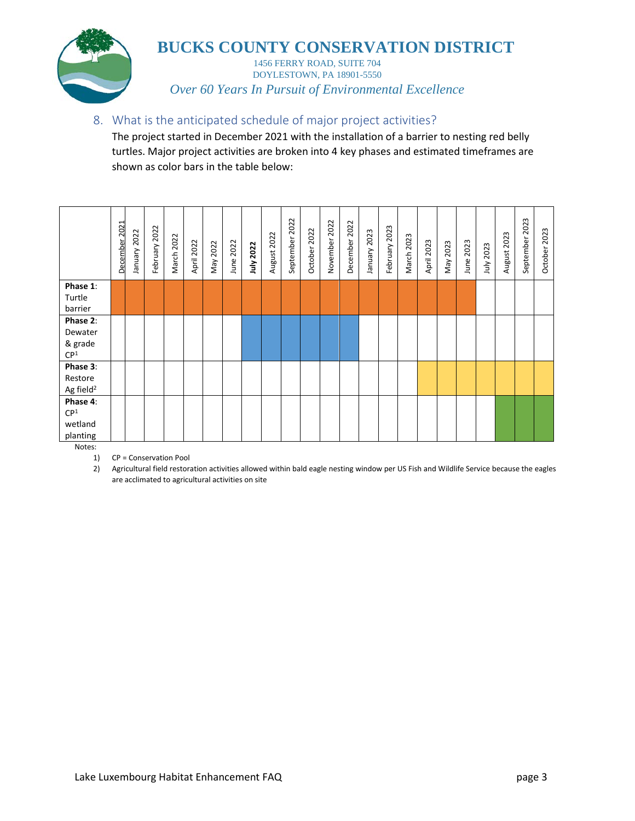

1456 FERRY ROAD, SUITE 704 DOYLESTOWN, PA 18901-5550 *Over 60 Years In Pursuit of Environmental Excellence*

#### 8. What is the anticipated schedule of major project activities?

The project started in December 2021 with the installation of a barrier to nesting red belly turtles. Major project activities are broken into 4 key phases and estimated timeframes are shown as color bars in the table below:

|                            | December 2021 | January 2022 | February 2022 | March 2022 | April 2022 | May 2022 | June 2022 | July 2022 | August 2022 | 2022<br>September | October 2022 | November 2022 | December 2022 | January 2023 | February 2023 | March 2023 | April 2023 | May 2023 | June 2023 | July 2023 | August 2023 | September 2023 | October 2023 |
|----------------------------|---------------|--------------|---------------|------------|------------|----------|-----------|-----------|-------------|-------------------|--------------|---------------|---------------|--------------|---------------|------------|------------|----------|-----------|-----------|-------------|----------------|--------------|
| Phase 1:                   |               |              |               |            |            |          |           |           |             |                   |              |               |               |              |               |            |            |          |           |           |             |                |              |
| Turtle<br>barrier          |               |              |               |            |            |          |           |           |             |                   |              |               |               |              |               |            |            |          |           |           |             |                |              |
| Phase 2:                   |               |              |               |            |            |          |           |           |             |                   |              |               |               |              |               |            |            |          |           |           |             |                |              |
| Dewater                    |               |              |               |            |            |          |           |           |             |                   |              |               |               |              |               |            |            |          |           |           |             |                |              |
| & grade<br>CP <sup>1</sup> |               |              |               |            |            |          |           |           |             |                   |              |               |               |              |               |            |            |          |           |           |             |                |              |
| Phase 3:                   |               |              |               |            |            |          |           |           |             |                   |              |               |               |              |               |            |            |          |           |           |             |                |              |
| Restore                    |               |              |               |            |            |          |           |           |             |                   |              |               |               |              |               |            |            |          |           |           |             |                |              |
| Ag field <sup>2</sup>      |               |              |               |            |            |          |           |           |             |                   |              |               |               |              |               |            |            |          |           |           |             |                |              |
| Phase 4:                   |               |              |               |            |            |          |           |           |             |                   |              |               |               |              |               |            |            |          |           |           |             |                |              |
| $\mathsf{C}\mathsf{P}^1$   |               |              |               |            |            |          |           |           |             |                   |              |               |               |              |               |            |            |          |           |           |             |                |              |
| wetland                    |               |              |               |            |            |          |           |           |             |                   |              |               |               |              |               |            |            |          |           |           |             |                |              |
| planting                   |               |              |               |            |            |          |           |           |             |                   |              |               |               |              |               |            |            |          |           |           |             |                |              |

Notes:

1) CP = Conservation Pool

2) Agricultural field restoration activities allowed within bald eagle nesting window per US Fish and Wildlife Service because the eagles are acclimated to agricultural activities on site